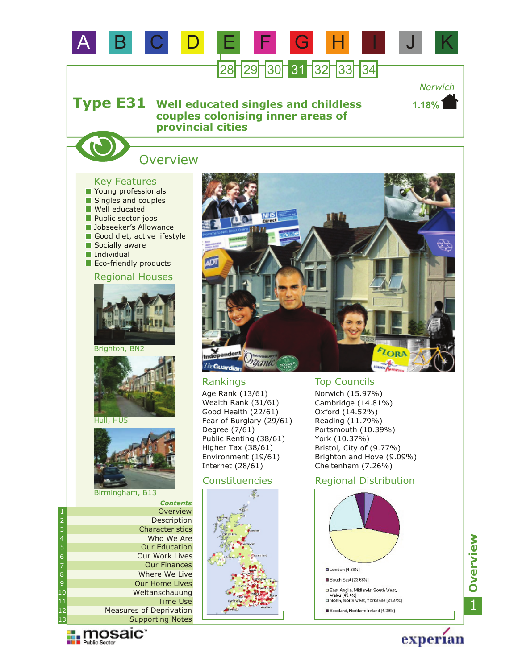

Supporting Notes Measures of Deprivation Time Use



12 13

experian

Scotland, Northern Ireland (4.39%)

1**Overview**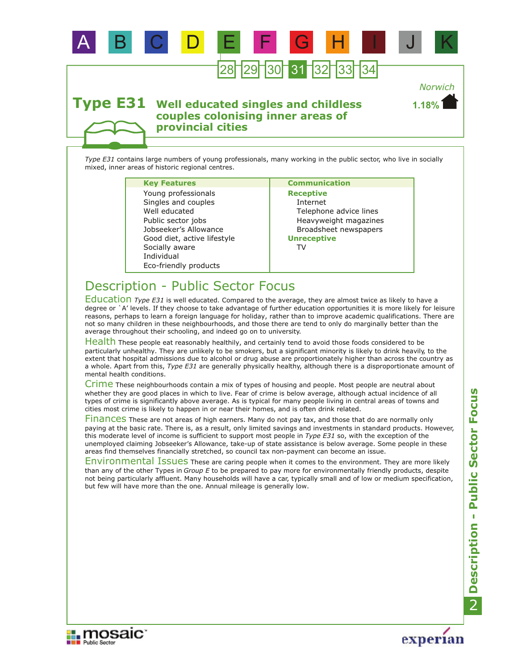

#### **Well educated singles and childless couples colonising inner areas of provincial cities Type E31**

*Type E31* contains large numbers of young professionals, many working in the public sector, who live in socially mixed, inner areas of historic regional centres.

### **Key Features Communication**

Eco-friendly products Jobseeker's Allowance Individual Well educated Public sector jobs Good diet, active lifestyle Socially aware Singles and couples Young professionals

**Receptive** Internet Telephone advice lines Heavyweight magazines Broadsheet newspapers **Unreceptive**

**1.18%**

TV

# Description - Public Sector Focus

Education Type E31 is well educated. Compared to the average, they are almost twice as likely to have a degree or `A' levels. If they choose to take advantage of further education opportunities it is more likely for leisure reasons, perhaps to learn a foreign language for holiday, rather than to improve academic qualifications. There are not so many children in these neighbourhoods, and those there are tend to only do marginally better than the average throughout their schooling, and indeed go on to university.

Health These people eat reasonably healthily, and certainly tend to avoid those foods considered to be particularly unhealthy. They are unlikely to be smokers, but a significant minority is likely to drink heavily, to the extent that hospital admissions due to alcohol or drug abuse are proportionately higher than across the country as a whole. Apart from this, *Type E31* are generally physically healthy, although there is a disproportionate amount of mental health conditions.

Crime These neighbourhoods contain a mix of types of housing and people. Most people are neutral about whether they are good places in which to live. Fear of crime is below average, although actual incidence of all types of crime is significantly above average. As is typical for many people living in central areas of towns and cities most crime is likely to happen in or near their homes, and is often drink related.

Finances These are not areas of high earners. Many do not pay tax, and those that do are normally only paying at the basic rate. There is, as a result, only limited savings and investments in standard products. However, this moderate level of income is sufficient to support most people in *Type E31* so, with the exception of the unemployed claiming Jobseeker's Allowance, take-up of state assistance is below average. Some people in these areas find themselves financially stretched, so council tax non-payment can become an issue.

Environmental Issues These are caring people when it comes to the environment. They are more likely than any of the other Types in *Group E* to be prepared to pay more for environmentally friendly products, despite not being particularly affluent. Many households will have a car, typically small and of low or medium specification, but few will have more than the one. Annual mileage is generally low.



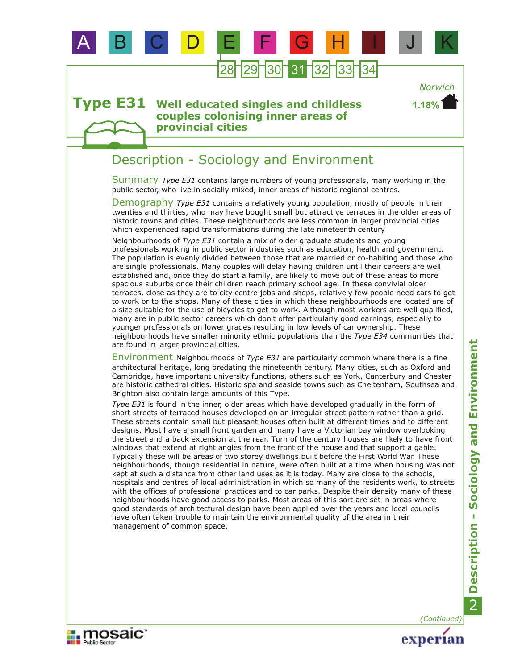

#### **Well educated singles and childless couples colonising inner areas of provincial cities Type E31**

## Description - Sociology and Environment

Summary Type E31 contains large numbers of young professionals, many working in the public sector, who live in socially mixed, inner areas of historic regional centres.

Demography *Type E31* contains a relatively young population, mostly of people in their twenties and thirties, who may have bought small but attractive terraces in the older areas of historic towns and cities. These neighbourhoods are less common in larger provincial cities which experienced rapid transformations during the late nineteenth century

Neighbourhoods of *Type E31* contain a mix of older graduate students and young professionals working in public sector industries such as education, health and government. The population is evenly divided between those that are married or co-habiting and those who are single professionals. Many couples will delay having children until their careers are well established and, once they do start a family, are likely to move out of these areas to more spacious suburbs once their children reach primary school age. In these convivial older terraces, close as they are to city centre jobs and shops, relatively few people need cars to get to work or to the shops. Many of these cities in which these neighbourhoods are located are of a size suitable for the use of bicycles to get to work. Although most workers are well qualified, many are in public sector careers which don't offer particularly good earnings, especially to younger professionals on lower grades resulting in low levels of car ownership. These neighbourhoods have smaller minority ethnic populations than the *Type E34* communities that are found in larger provincial cities.

Environment Neighbourhoods of *Type E31* are particularly common where there is a fine architectural heritage, long predating the nineteenth century. Many cities, such as Oxford and Cambridge, have important university functions, others such as York, Canterbury and Chester are historic cathedral cities. Historic spa and seaside towns such as Cheltenham, Southsea and Brighton also contain large amounts of this Type.

*Type E31* is found in the inner, older areas which have developed gradually in the form of short streets of terraced houses developed on an irregular street pattern rather than a grid. These streets contain small but pleasant houses often built at different times and to different designs. Most have a small front garden and many have a Victorian bay window overlooking the street and a back extension at the rear. Turn of the century houses are likely to have front windows that extend at right angles from the front of the house and that support a gable. Typically these will be areas of two storey dwellings built before the First World War. These neighbourhoods, though residential in nature, were often built at a time when housing was not kept at such a distance from other land uses as it is today. Many are close to the schools, hospitals and centres of local administration in which so many of the residents work, to streets with the offices of professional practices and to car parks. Despite their density many of these neighbourhoods have good access to parks. Most areas of this sort are set in areas where good standards of architectural design have been applied over the years and local councils have often taken trouble to maintain the environmental quality of the area in their management of common space.

*(Continued)*

experian

*Norwich*

**1.18%**

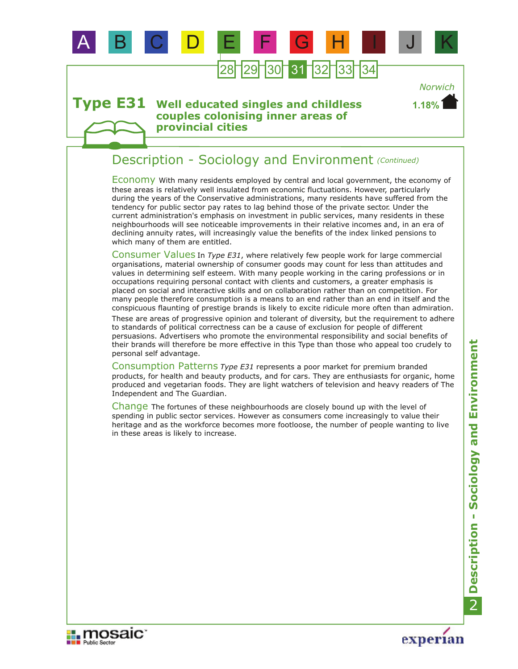

#### **Well educated singles and childless couples colonising inner areas of provincial cities Type E31**

### Description - Sociology and Environment *(Continued)*

Economy With many residents employed by central and local government, the economy of these areas is relatively well insulated from economic fluctuations. However, particularly during the years of the Conservative administrations, many residents have suffered from the tendency for public sector pay rates to lag behind those of the private sector. Under the current administration's emphasis on investment in public services, many residents in these neighbourhoods will see noticeable improvements in their relative incomes and, in an era of declining annuity rates, will increasingly value the benefits of the index linked pensions to which many of them are entitled.

Consumer Values In *Type E31*, where relatively few people work for large commercial organisations, material ownership of consumer goods may count for less than attitudes and values in determining self esteem. With many people working in the caring professions or in occupations requiring personal contact with clients and customers, a greater emphasis is placed on social and interactive skills and on collaboration rather than on competition. For many people therefore consumption is a means to an end rather than an end in itself and the conspicuous flaunting of prestige brands is likely to excite ridicule more often than admiration.

These are areas of progressive opinion and tolerant of diversity, but the requirement to adhere to standards of political correctness can be a cause of exclusion for people of different persuasions. Advertisers who promote the environmental responsibility and social benefits of their brands will therefore be more effective in this Type than those who appeal too crudely to personal self advantage.

Consumption Patterns *Type E31* represents a poor market for premium branded products, for health and beauty products, and for cars. They are enthusiasts for organic, home produced and vegetarian foods. They are light watchers of television and heavy readers of The Independent and The Guardian.

Change The fortunes of these neighbourhoods are closely bound up with the level of spending in public sector services. However as consumers come increasingly to value their heritage and as the workforce becomes more footloose, the number of people wanting to live in these areas is likely to increase.

experian

**1.18%**